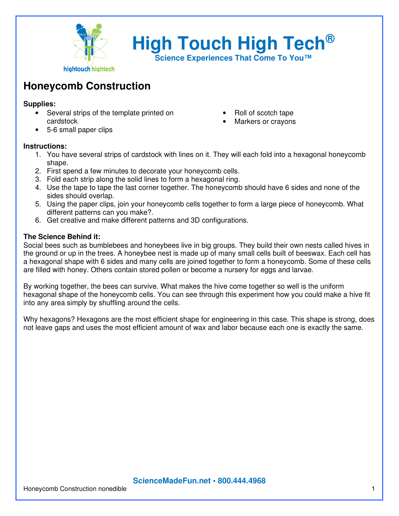

**High Touch High Tech®**

**Science Experiences That Come To You™**

## **Honeycomb Construction**

## **Supplies:**

- Several strips of the template printed on cardstock
- Roll of scotch tape
- Markers or crayons

• 5-6 small paper clips

## **Instructions:**

- 1. You have several strips of cardstock with lines on it. They will each fold into a hexagonal honeycomb shape.
- 2. First spend a few minutes to decorate your honeycomb cells.
- 3. Fold each strip along the solid lines to form a hexagonal ring.
- 4. Use the tape to tape the last corner together. The honeycomb should have 6 sides and none of the sides should overlap.
- 5. Using the paper clips, join your honeycomb cells together to form a large piece of honeycomb. What different patterns can you make?.
- 6. Get creative and make different patterns and 3D configurations.

## **The Science Behind it:**

Social bees such as bumblebees and honeybees live in big groups. They build their own nests called hives in the ground or up in the trees. A honeybee nest is made up of many small cells built of beeswax. Each cell has a hexagonal shape with 6 sides and many cells are joined together to form a honeycomb. Some of these cells are filled with honey. Others contain stored pollen or become a nursery for eggs and larvae.

By working together, the bees can survive. What makes the hive come together so well is the uniform hexagonal shape of the honeycomb cells. You can see through this experiment how you could make a hive fit into any area simply by shuffling around the cells.

Why hexagons? Hexagons are the most efficient shape for engineering in this case. This shape is strong, does not leave gaps and uses the most efficient amount of wax and labor because each one is exactly the same.